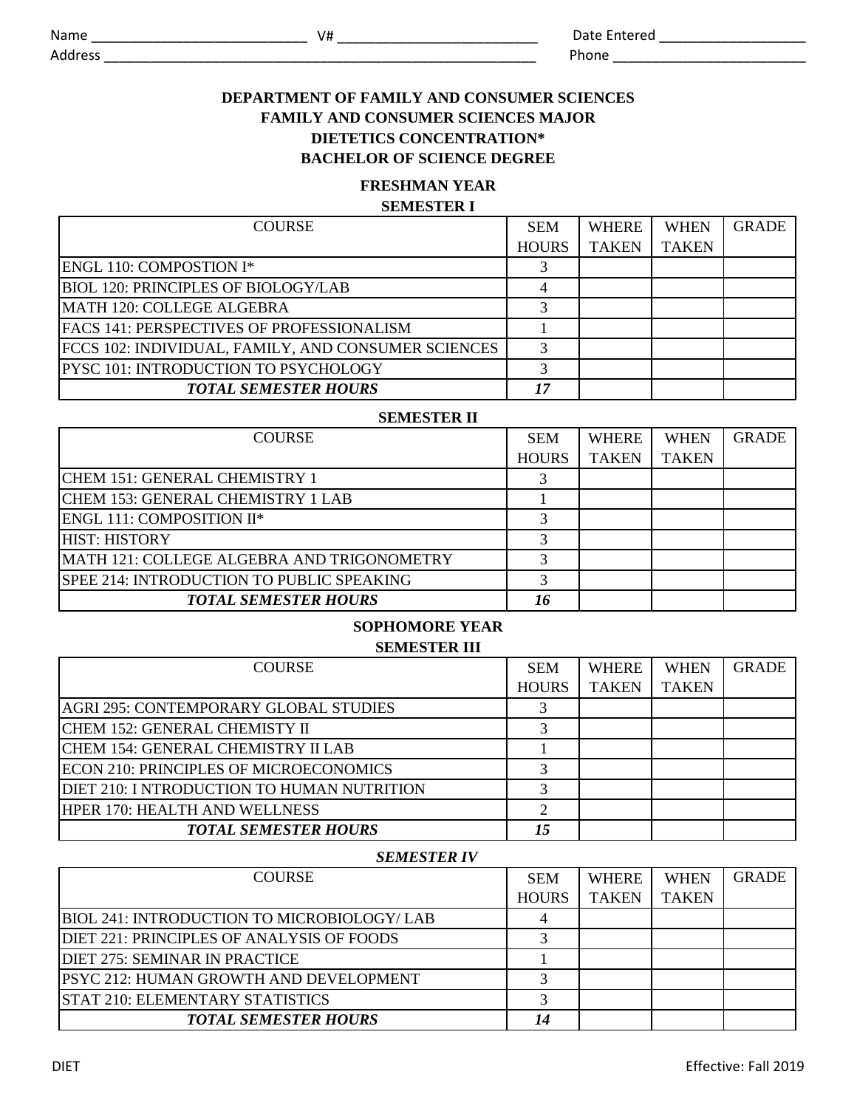Phone  $\blacksquare$ 

Address **and a set of the set of the set of the set of the set of the set of the set of the set of the set of the set of the set of the set of the set of the set of the set of the set of the set of the set of the set of th** 

# **DEPARTMENT OF FAMILY AND CONSUMER SCIENCES FAMILY AND CONSUMER SCIENCES MAJOR DIETETICS CONCENTRATION\***

### **BACHELOR OF SCIENCE DEGREE**

# **FRESHMAN YEAR**

### **SEMESTER I**

| <b>COURSE</b>                                       | <b>SEM</b>   | <b>WHERE</b> | <b>WHEN</b>  | <b>GRADE</b> |
|-----------------------------------------------------|--------------|--------------|--------------|--------------|
|                                                     | <b>HOURS</b> | <b>TAKEN</b> | <b>TAKEN</b> |              |
| <b>ENGL 110: COMPOSTION I*</b>                      |              |              |              |              |
| <b>BIOL 120: PRINCIPLES OF BIOLOGY/LAB</b>          |              |              |              |              |
| IMATH 120: COLLEGE ALGEBRA                          |              |              |              |              |
| <b>IFACS 141: PERSPECTIVES OF PROFESSIONALISM</b>   |              |              |              |              |
| FCCS 102: INDIVIDUAL, FAMILY, AND CONSUMER SCIENCES | 3            |              |              |              |
| <b>PYSC 101: INTRODUCTION TO PSYCHOLOGY</b>         |              |              |              |              |
| <b>TOTAL SEMESTER HOURS</b>                         | 17           |              |              |              |

#### **SEMESTER II**

| <b>COURSE</b>                              | <b>SEM</b>   | <b>WHERE</b> | <b>WHEN</b>  | <b>GRADE</b> |
|--------------------------------------------|--------------|--------------|--------------|--------------|
|                                            | <b>HOURS</b> | <b>TAKEN</b> | <b>TAKEN</b> |              |
| CHEM 151: GENERAL CHEMISTRY 1              |              |              |              |              |
| CHEM 153: GENERAL CHEMISTRY 1 LAB          |              |              |              |              |
| <b>ENGL 111: COMPOSITION II*</b>           |              |              |              |              |
| <b>HIST: HISTORY</b>                       |              |              |              |              |
| MATH 121: COLLEGE ALGEBRA AND TRIGONOMETRY |              |              |              |              |
| SPEE 214: INTRODUCTION TO PUBLIC SPEAKING  |              |              |              |              |
| <b>TOTAL SEMESTER HOURS</b>                |              |              |              |              |

### **SOPHOMORE YEAR SEMESTER III**

| <b>COURSE</b>                                 | <b>SEM</b>   | <b>WHERE</b> | <b>WHEN</b>  | <b>GRADE</b> |
|-----------------------------------------------|--------------|--------------|--------------|--------------|
|                                               | <b>HOURS</b> | <b>TAKEN</b> | <b>TAKEN</b> |              |
| AGRI 295: CONTEMPORARY GLOBAL STUDIES         |              |              |              |              |
| CHEM 152: GENERAL CHEMISTY II                 |              |              |              |              |
| CHEM 154: GENERAL CHEMISTRY II LAB            |              |              |              |              |
| <b>ECON 210: PRINCIPLES OF MICROECONOMICS</b> |              |              |              |              |
| DIET 210: I NTRODUCTION TO HUMAN NUTRITION    |              |              |              |              |
| <b>HPER 170: HEALTH AND WELLNESS</b>          |              |              |              |              |
| <b>TOTAL SEMESTER HOURS</b>                   | 15           |              |              |              |

#### *SEMESTER IV*

| <b>COURSE</b>                                     | <b>SEM</b>   | <b>WHERE</b> | <b>WHEN</b>  | <b>GRADE</b> |
|---------------------------------------------------|--------------|--------------|--------------|--------------|
|                                                   | <b>HOURS</b> | <b>TAKEN</b> | <b>TAKEN</b> |              |
| <b>BIOL 241: INTRODUCTION TO MICROBIOLOGY/LAB</b> |              |              |              |              |
| DIET 221: PRINCIPLES OF ANALYSIS OF FOODS         |              |              |              |              |
| DIET 275: SEMINAR IN PRACTICE                     |              |              |              |              |
| <b>PSYC 212: HUMAN GROWTH AND DEVELOPMENT</b>     |              |              |              |              |
| <b>STAT 210: ELEMENTARY STATISTICS</b>            |              |              |              |              |
| <b>TOTAL SEMESTER HOURS</b>                       | 14           |              |              |              |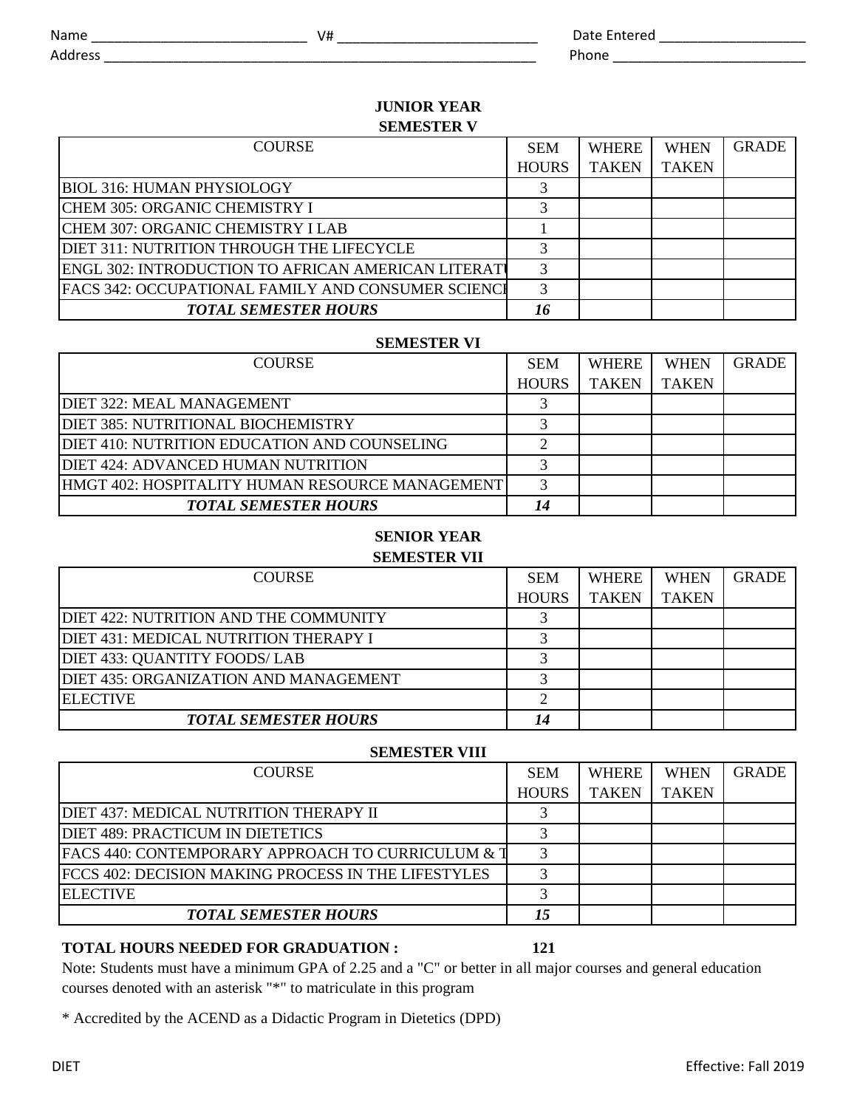Address **and a set of the set of the set of the set of the set of the set of the set of the set of the set of the set of the set of the set of the set of the set of the set of the set of the set of the set of the set of th** 

# **JUNIOR YEAR SEMESTER V**

| <b>COURSE</b>                                             | <b>SEM</b>   | <b>WHERE</b> | <b>WHEN</b>  | <b>GRADE</b> |
|-----------------------------------------------------------|--------------|--------------|--------------|--------------|
|                                                           | <b>HOURS</b> | <b>TAKEN</b> | <b>TAKEN</b> |              |
| <b>BIOL 316: HUMAN PHYSIOLOGY</b>                         |              |              |              |              |
| CHEM 305: ORGANIC CHEMISTRY I                             |              |              |              |              |
| CHEM 307: ORGANIC CHEMISTRY I LAB                         |              |              |              |              |
| DIET 311: NUTRITION THROUGH THE LIFECYCLE                 |              |              |              |              |
| ENGL 302: INTRODUCTION TO AFRICAN AMERICAN LITERATI       |              |              |              |              |
| <b>FACS 342: OCCUPATIONAL FAMILY AND CONSUMER SCIENCE</b> |              |              |              |              |
| <b>TOTAL SEMESTER HOURS</b>                               | 16           |              |              |              |

### **SEMESTER VI**

| <b>COURSE</b>                                   | <b>SEM</b>   | <b>WHERE</b> | <b>WHEN</b>  | <b>GRADE</b> |
|-------------------------------------------------|--------------|--------------|--------------|--------------|
|                                                 | <b>HOURS</b> | <b>TAKEN</b> | <b>TAKEN</b> |              |
| DIET 322: MEAL MANAGEMENT                       |              |              |              |              |
| DIET 385: NUTRITIONAL BIOCHEMISTRY              |              |              |              |              |
| DIET 410: NUTRITION EDUCATION AND COUNSELING    |              |              |              |              |
| <b>DIET 424: ADVANCED HUMAN NUTRITION</b>       |              |              |              |              |
| HMGT 402: HOSPITALITY HUMAN RESOURCE MANAGEMENT |              |              |              |              |
| <b>TOTAL SEMESTER HOURS</b>                     |              |              |              |              |

# **SENIOR YEAR**

**SEMESTER VII**

| <b>COURSE</b>                         | <b>SEM</b>   | WHERE        | <b>WHEN</b>  | <b>GRADE</b> |
|---------------------------------------|--------------|--------------|--------------|--------------|
|                                       | <b>HOURS</b> | <b>TAKEN</b> | <b>TAKEN</b> |              |
| DIET 422: NUTRITION AND THE COMMUNITY |              |              |              |              |
| DIET 431: MEDICAL NUTRITION THERAPY I |              |              |              |              |
| DIET 433: QUANTITY FOODS/ LAB         |              |              |              |              |
| DIET 435: ORGANIZATION AND MANAGEMENT |              |              |              |              |
| <b>ELECTIVE</b>                       |              |              |              |              |
| <b>TOTAL SEMESTER HOURS</b>           |              |              |              |              |

### **SEMESTER VIII**

| <b>COURSE</b>                                       | <b>SEM</b>   | <b>WHERE</b> | <b>WHEN</b>  | <b>GRADE</b> |
|-----------------------------------------------------|--------------|--------------|--------------|--------------|
|                                                     | <b>HOURS</b> | <b>TAKEN</b> | <b>TAKEN</b> |              |
| DIET 437: MEDICAL NUTRITION THERAPY II              |              |              |              |              |
| DIET 489: PRACTICUM IN DIETETICS                    |              |              |              |              |
| FACS 440: CONTEMPORARY APPROACH TO CURRICULUM & T   |              |              |              |              |
| FCCS 402: DECISION MAKING PROCESS IN THE LIFESTYLES |              |              |              |              |
| <b>ELECTIVE</b>                                     |              |              |              |              |
| <b>TOTAL SEMESTER HOURS</b>                         |              |              |              |              |

# **TOTAL HOURS NEEDED FOR GRADUATION : 121**

Note: Students must have a minimum GPA of 2.25 and a "C" or better in all major courses and general education courses denoted with an asterisk "\*" to matriculate in this program

\* Accredited by the ACEND as a Didactic Program in Dietetics (DPD)